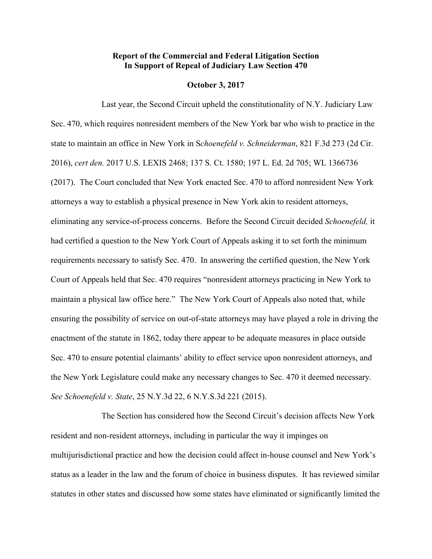## **Report of the Commercial and Federal Litigation Section In Support of Repeal of Judiciary Law Section 470**

## **October 3, 2017**

Last year, the Second Circuit upheld the constitutionality of N.Y. Judiciary Law Sec. 470, which requires nonresident members of the New York bar who wish to practice in the state to maintain an office in New York in S*choenefeld v. Schneiderman*, 821 F.3d 273 (2d Cir. 2016), *cert den.* 2017 U.S. LEXIS 2468; 137 S. Ct. 1580; 197 L. Ed. 2d 705; WL 1366736 (2017). The Court concluded that New York enacted Sec. 470 to afford nonresident New York attorneys a way to establish a physical presence in New York akin to resident attorneys, eliminating any service-of-process concerns. Before the Second Circuit decided *Schoenefeld,* it had certified a question to the New York Court of Appeals asking it to set forth the minimum requirements necessary to satisfy Sec. 470. In answering the certified question, the New York Court of Appeals held that Sec. 470 requires "nonresident attorneys practicing in New York to maintain a physical law office here." The New York Court of Appeals also noted that, while ensuring the possibility of service on out-of-state attorneys may have played a role in driving the enactment of the statute in 1862, today there appear to be adequate measures in place outside Sec. 470 to ensure potential claimants' ability to effect service upon nonresident attorneys, and the New York Legislature could make any necessary changes to Sec. 470 it deemed necessary. *See Schoenefeld v. State*, 25 N.Y.3d 22, 6 N.Y.S.3d 221 (2015).

The Section has considered how the Second Circuit's decision affects New York resident and non-resident attorneys, including in particular the way it impinges on multijurisdictional practice and how the decision could affect in-house counsel and New York's status as a leader in the law and the forum of choice in business disputes. It has reviewed similar statutes in other states and discussed how some states have eliminated or significantly limited the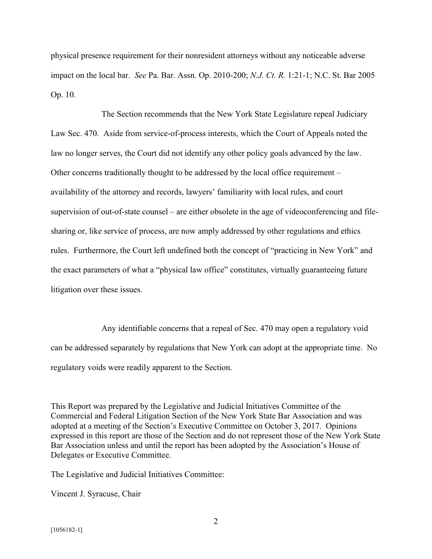physical presence requirement for their nonresident attorneys without any noticeable adverse impact on the local bar. *See* Pa. Bar. Assn. Op. 2010-200; *N.J. Ct. R.* 1:21-1; N.C. St. Bar 2005 Op. 10.

The Section recommends that the New York State Legislature repeal Judiciary Law Sec. 470. Aside from service-of-process interests, which the Court of Appeals noted the law no longer serves, the Court did not identify any other policy goals advanced by the law. Other concerns traditionally thought to be addressed by the local office requirement – availability of the attorney and records, lawyers' familiarity with local rules, and court supervision of out-of-state counsel – are either obsolete in the age of videoconferencing and filesharing or, like service of process, are now amply addressed by other regulations and ethics rules. Furthermore, the Court left undefined both the concept of "practicing in New York" and the exact parameters of what a "physical law office" constitutes, virtually guaranteeing future litigation over these issues.

Any identifiable concerns that a repeal of Sec. 470 may open a regulatory void can be addressed separately by regulations that New York can adopt at the appropriate time. No regulatory voids were readily apparent to the Section.

This Report was prepared by the Legislative and Judicial Initiatives Committee of the Commercial and Federal Litigation Section of the New York State Bar Association and was adopted at a meeting of the Section's Executive Committee on October 3, 2017. Opinions expressed in this report are those of the Section and do not represent those of the New York State Bar Association unless and until the report has been adopted by the Association's House of Delegates or Executive Committee.

The Legislative and Judicial Initiatives Committee:

Vincent J. Syracuse, Chair